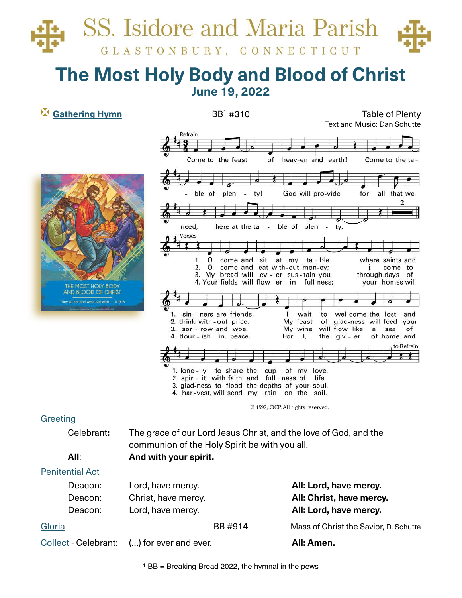# **SS.** Isidore and Maria Parish GLASTONBURY, CONNECTICUT

## **The Most Holy Body and Blood of Christ June 19, 2022**

✠ **Gathering Hymn** BB #310 Table of Plenty 1 Text and Music: Dan Schutte





## **Greeting**

Celebrant: The grace of our Lord Jesus Christ, and the love of God, and the communion of the Holy Spirit be with you all. **All**: **And with your spirit.** 

## Penitential Act

Deacon: Lord, have mercy. **All: Lord, have mercy.** Deacon: Christ, have mercy. **All: Christ, have mercy.** Deacon: Lord, have mercy. **All: Lord, have mercy.** 

Gloria BB #914 Mass of Christ the Savior, D. Schutte

Collect - Celebrant: (…) for ever and ever. **All: Amen.**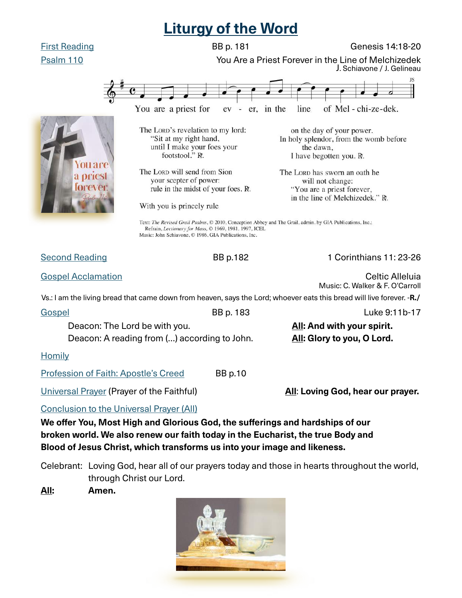## **Liturgy of the Word**



Celebrant: Loving God, hear all of our prayers today and those in hearts throughout the world, through Christ our Lord.

**All: Amen.** 

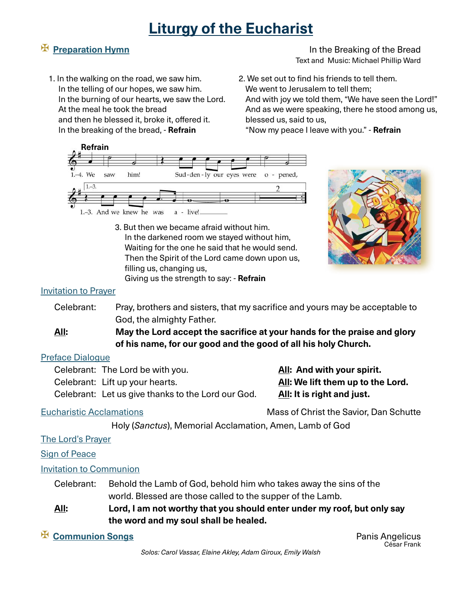## **Liturgy of the Eucharist**

✠ **Preparation Hymn** In the Breaking of the Bread Text and Music: Michael Phillip Ward

- 1. In the walking on the road, we saw him. In the telling of our hopes, we saw him. In the burning of our hearts, we saw the Lord. At the meal he took the bread and then he blessed it, broke it, offered it. In the breaking of the bread, - **Refrain**
- 2. We set out to find his friends to tell them. We went to Jerusalem to tell them: And with joy we told them, "We have seen the Lord!" And as we were speaking, there he stood among us, blessed us, said to us,

"Now my peace I leave with you." - **Refrain**



3. But then we became afraid without him. In the darkened room we stayed without him, Waiting for the one he said that he would send. Then the Spirit of the Lord came down upon us, filling us, changing us, Giving us the strength to say: - **Refrain**



### Invitation to Prayer

- Celebrant: Pray, brothers and sisters, that my sacrifice and yours may be acceptable to God, the almighty Father.
- **All:** May the Lord accept the sacrifice at your hands for the praise and glory  **of his name, for our good and the good of all his holy Church.**

### Preface Dialogue

Celebrant: The Lord be with you. **All: And with your spirit.** 

Celebrant: Lift up your hearts. **All: We lift them up to the Lord.** 

Celebrant: Let us give thanks to the Lord our God. All: It is right and just.

Eucharistic Acclamations Mass of Christ the Savior, Dan Schutte

Holy (*Sanctus*), Memorial Acclamation, Amen, Lamb of God

#### The Lord's Prayer

Sign of Peace

Invitation to Communion

- Celebrant: Behold the Lamb of God, behold him who takes away the sins of the world. Blessed are those called to the supper of the Lamb.
- **All: Lord, I am not worthy that you should enter under my roof, but only say the word and my soul shall be healed.**
- 

<p>✓ <b>Common</b> <b>Cong</b></p>\n<p>✓ <b>Common</b> <b>Cong</b></p>\n<p>✓ <b>Common</b> <b>Cong</b></p>\n<p>✓ <b>Common</b> <b>Cong</b></p>\n<p>✓ <b>Cong</b></p>\n<p>✓ <b>Cong</b></p>\n<p>✓ <b>Cong</b></p>\n<p>✓ <b>Cong</b></p>\n<p>✓ <b>Cong</b></p>\n<p>✓ <b>Cong</b></p>\n<p>✓ <b>Cong</b></p>\n<p>✓ <b>Cong</b></p>\n<p>✓ <b>Cong</b></p>\n<p>✓ <b>Cong</b></